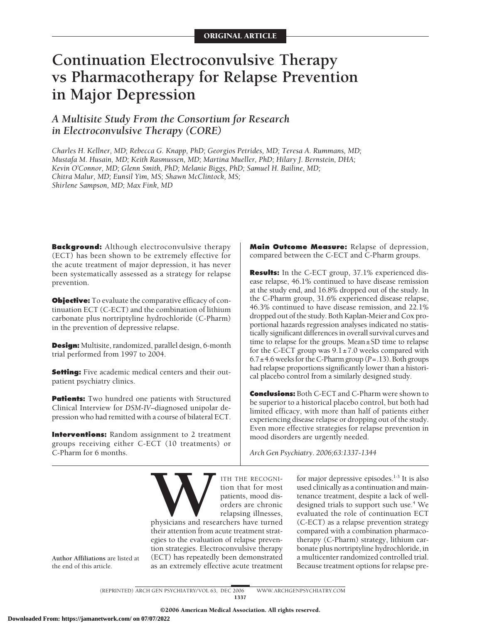# **Continuation Electroconvulsive Therapy vs Pharmacotherapy for Relapse Prevention in Major Depression**

# *A Multisite Study From the Consortium for Research in Electroconvulsive Therapy (CORE)*

*Charles H. Kellner, MD; Rebecca G. Knapp, PhD; Georgios Petrides, MD; Teresa A. Rummans, MD; Mustafa M. Husain, MD; Keith Rasmussen, MD; Martina Mueller, PhD; Hilary J. Bernstein, DHA; Kevin O'Connor, MD; Glenn Smith, PhD; Melanie Biggs, PhD; Samuel H. Bailine, MD; Chitra Malur, MD; Eunsil Yim, MS; Shawn McClintock, MS; Shirlene Sampson, MD; Max Fink, MD*

**Background:** Although electroconvulsive therapy (ECT) has been shown to be extremely effective for the acute treatment of major depression, it has never been systematically assessed as a strategy for relapse prevention.

**Objective:** To evaluate the comparative efficacy of continuation ECT (C-ECT) and the combination of lithium carbonate plus nortriptyline hydrochloride (C-Pharm) in the prevention of depressive relapse.

**Design:** Multisite, randomized, parallel design, 6-month trial performed from 1997 to 2004.

**Setting:** Five academic medical centers and their outpatient psychiatry clinics.

**Patients:** Two hundred one patients with Structured Clinical Interview for *DSM-IV–*diagnosed unipolar depression who had remitted with a course of bilateral ECT.

**Interventions:** Random assignment to 2 treatment groups receiving either C-ECT (10 treatments) or C-Pharm for 6 months.

**Main Outcome Measure:** Relapse of depression, compared between the C-ECT and C-Pharm groups.

**Results:** In the C-ECT group, 37.1% experienced disease relapse, 46.1% continued to have disease remission at the study end, and 16.8% dropped out of the study. In the C-Pharm group, 31.6% experienced disease relapse, 46.3% continued to have disease remission, and 22.1% dropped out of the study. Both Kaplan-Meier and Cox proportional hazards regression analyses indicated no statistically significant differences in overall survival curves and time to relapse for the groups. Mean±SD time to relapse for the C-ECT group was  $9.1 \pm 7.0$  weeks compared with 6.7±4.6 weeks for the C-Pharm group (*P*=.13). Both groups had relapse proportions significantly lower than a historical placebo control from a similarly designed study.

**Conclusions:** Both C-ECT and C-Pharm were shown to be superior to a historical placebo control, but both had limited efficacy, with more than half of patients either experiencing disease relapse or dropping out of the study. Even more effective strategies for relapse prevention in mood disorders are urgently needed.

*Arch Gen Psychiatry. 2006;63:1337-1344*

THE RECOGNITION ITHE RECOGNITION CONTRACT CONTRACT CONTRACT CONTRACT CONTRACT CONTRACT CONTRACT CONTRACT CONTRACT CONTRACT CONTRACT CONTRACT CONTRACT CONTRACT CONTRACT CONTRACT CONTRACT CONTRACT CONTRACT CONTRACT CONTRACT tion that for most patients, mood disorders are chronic relapsing illnesses,

physicians and researchers have turned their attention from acute treatment strategies to the evaluation of relapse prevention strategies. Electroconvulsive therapy (ECT) has repeatedly been demonstrated as an extremely effective acute treatment

for major depressive episodes. $1-3$  It is also used clinically as a continuation and maintenance treatment, despite a lack of welldesigned trials to support such use.<sup>4</sup> We evaluated the role of continuation ECT (C-ECT) as a relapse prevention strategy compared with a combination pharmacotherapy (C-Pharm) strategy, lithium carbonate plus nortriptyline hydrochloride, in a multicenter randomized controlled trial. Because treatment options for relapse pre-

**Author Affiliations** are listed at the end of this article.

> (REPRINTED) ARCH GEN PSYCHIATRY/ VOL 63, DEC 2006 WWW.ARCHGENPSYCHIATRY.COM 1337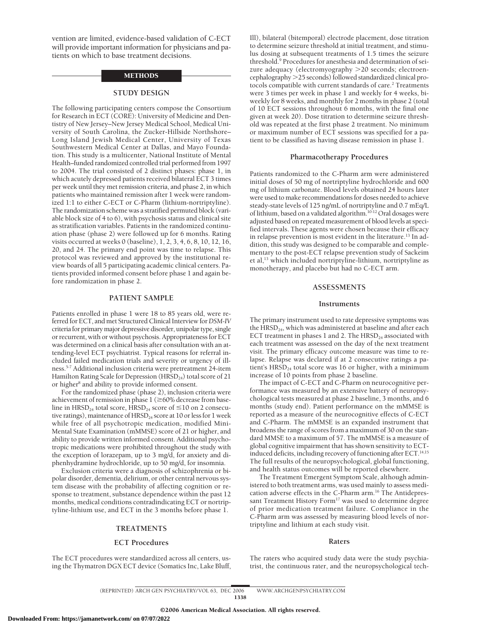vention are limited, evidence-based validation of C-ECT will provide important information for physicians and patients on which to base treatment decisions.

#### **METHODS**

#### **STUDY DESIGN**

The following participating centers compose the Consortium for Research in ECT (CORE): University of Medicine and Dentistry of New Jersey–New Jersey Medical School, Medical University of South Carolina, the Zucker-Hillside Northshore– Long Island Jewish Medical Center, University of Texas Southwestern Medical Center at Dallas, and Mayo Foundation. This study is a multicenter, National Institute of Mental Health–funded randomized controlled trial performed from 1997 to 2004. The trial consisted of 2 distinct phases: phase 1, in which acutely depressed patients received bilateral ECT 3 times per week until they met remission criteria, and phase 2, in which patients who maintained remission after 1 week were randomized 1:1 to either C-ECT or C-Pharm (lithium-nortriptyline). The randomization scheme was a stratified permuted block (variable block size of 4 to 6), with psychosis status and clinical site as stratification variables. Patients in the randomized continuation phase (phase 2) were followed up for 6 months. Rating visits occurred at weeks 0 (baseline), 1, 2, 3, 4, 6, 8, 10, 12, 16, 20, and 24. The primary end point was time to relapse. This protocol was reviewed and approved by the institutional review boards of all 5 participating academic clinical centers. Patients provided informed consent before phase 1 and again before randomization in phase 2.

# **PATIENT SAMPLE**

Patients enrolled in phase 1 were 18 to 85 years old, were referred for ECT, and met Structured Clinical Interview for*DSM-IV* criteria for primary major depressive disorder, unipolar type, single or recurrent, with or without psychosis. Appropriateness for ECT was determined on a clinical basis after consultation with an attending-level ECT psychiatrist. Typical reasons for referral included failed medication trials and severity or urgency of illness.5-7 Additional inclusion criteria were pretreatment 24-item Hamilton Rating Scale for Depression (HRSD<sub>24</sub>) total score of 21 or higher<sup>8</sup> and ability to provide informed consent.

For the randomized phase (phase 2), inclusion criteria were achievement of remission in phase  $1$  ( $\geq$ 60% decrease from baseline in  $HRSD_{24}$  total score,  $HRSD_{24}$  score of  $\leq 10$  on 2 consecutive ratings), maintenance of  $H RSD<sub>24</sub>$  score at 10 or less for 1 week while free of all psychotropic medication, modified Mini-Mental State Examination (mMMSE) score of 21 or higher, and ability to provide written informed consent. Additional psychotropic medications were prohibited throughout the study with the exception of lorazepam, up to 3 mg/d, for anxiety and diphenhydramine hydrochloride, up to 50 mg/d, for insomnia.

Exclusion criteria were a diagnosis of schizophrenia or bipolar disorder, dementia, delirium, or other central nervous system disease with the probability of affecting cognition or response to treatment, substance dependence within the past 12 months, medical conditions contradindicating ECT or nortriptyline-lithium use, and ECT in the 3 months before phase 1.

#### **TREATMENTS**

# **ECT Procedures**

The ECT procedures were standardized across all centers, using the Thymatron DGX ECT device (Somatics Inc, Lake Bluff, Ill), bilateral (bitemporal) electrode placement, dose titration to determine seizure threshold at initial treatment, and stimulus dosing at subsequent treatments of 1.5 times the seizure threshold.<sup>9</sup> Procedures for anesthesia and determination of seizure adequacy (electromyography 20 seconds; electroencephalography 25 seconds) followed standardized clinical protocols compatible with current standards of care.<sup>2</sup> Treatments were 3 times per week in phase 1 and weekly for 4 weeks, biweekly for 8 weeks, and monthly for 2 months in phase 2 (total of 10 ECT sessions throughout 6 months, with the final one given at week 20). Dose titration to determine seizure threshold was repeated at the first phase 2 treatment. No minimum or maximum number of ECT sessions was specified for a patient to be classified as having disease remission in phase 1.

#### **Pharmacotherapy Procedures**

Patients randomized to the C-Pharm arm were administered initial doses of 50 mg of nortriptyline hydrochloride and 600 mg of lithium carbonate. Blood levels obtained 24 hours later were used to make recommendations for doses needed to achieve steady-state levels of 125 ng/mL of nortriptyline and 0.7 mEq/L of lithium, based on a validated algorithm.10-12 Oral dosages were adjusted based on repeated measurement of blood levels at specified intervals. These agents were chosen because their efficacy in relapse prevention is most evident in the literature.<sup>13</sup> In addition, this study was designed to be comparable and complementary to the post-ECT relapse prevention study of Sackeim et al,13 which included nortriptyline-lithium, nortriptyline as monotherapy, and placebo but had no C-ECT arm.

#### **ASSESSMENTS**

#### **Instruments**

The primary instrument used to rate depressive symptoms was the HRSD<sub>24</sub>, which was administered at baseline and after each ECT treatment in phases 1 and 2. The  $HRSD<sub>24</sub>$  associated with each treatment was assessed on the day of the next treatment visit. The primary efficacy outcome measure was time to relapse. Relapse was declared if at 2 consecutive ratings a patient's  $HRSD<sub>24</sub>$  total score was 16 or higher, with a minimum increase of 10 points from phase 2 baseline.

The impact of C-ECT and C-Pharm on neurocognitive performance was measured by an extensive battery of neuropsychological tests measured at phase 2 baseline, 3 months, and 6 months (study end). Patient performance on the mMMSE is reported as a measure of the neurocognitive effects of C-ECT and C-Pharm. The mMMSE is an expanded instrument that broadens the range of scores from a maximum of 30 on the standard MMSE to a maximum of 57. The mMMSE is a measure of global cognitive impairment that has shown sensitivity to ECTinduced deficits, including recovery of functioning after ECT.<sup>14,15</sup> The full results of the neuropsychological, global functioning, and health status outcomes will be reported elsewhere.

The Treatment Emergent Symptom Scale, although administered to both treatment arms, was used mainly to assess medication adverse effects in the C-Pharm arm.16 The Antidepressant Treatment History Form<sup>17</sup> was used to determine degree of prior medication treatment failure. Compliance in the C-Pharm arm was assessed by measuring blood levels of nortriptyline and lithium at each study visit.

#### **Raters**

The raters who acquired study data were the study psychiatrist, the continuous rater, and the neuropsychological tech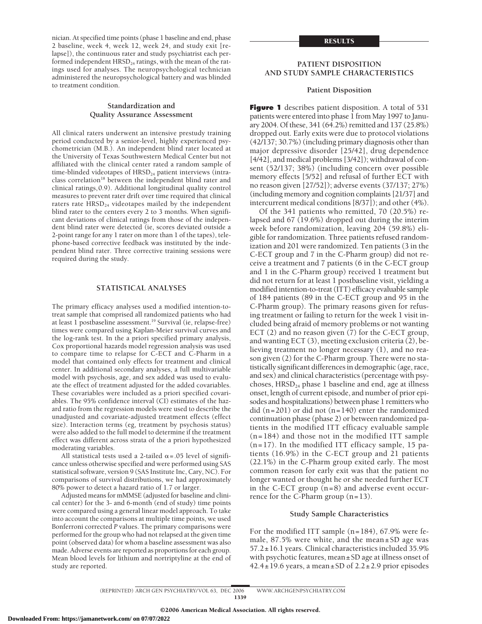nician. At specified time points (phase 1 baseline and end, phase 2 baseline, week 4, week 12, week 24, and study exit [relapse]), the continuous rater and study psychiatrist each performed independent  $H RSD<sub>24</sub>$  ratings, with the mean of the ratings used for analyses. The neuropsychological technician administered the neuropsychological battery and was blinded to treatment condition.

# **Standardization and Quality Assurance Assessment**

All clinical raters underwent an intensive prestudy training period conducted by a senior-level, highly experienced psychometrician (M.B.). An independent blind rater located at the University of Texas Southwestern Medical Center but not affiliated with the clinical center rated a random sample of time-blinded videotapes of  $H RSD<sub>24</sub>$  patient interviews (intraclass correlation<sup>18</sup> between the independent blind rater and clinical ratings,0.9). Additional longitudinal quality control measures to prevent rater drift over time required that clinical raters rate HRSD<sub>24</sub> videotapes mailed by the independent blind rater to the centers every 2 to 3 months. When significant deviations of clinical ratings from those of the independent blind rater were detected (ie, scores deviated outside a 2-point range for any 1 rater on more than 1 of the tapes), telephone-based corrective feedback was instituted by the independent blind rater. Three corrective training sessions were required during the study.

## **STATISTICAL ANALYSES**

The primary efficacy analyses used a modified intention-totreat sample that comprised all randomized patients who had at least 1 postbaseline assessment.19 Survival (ie, relapse-free) times were compared using Kaplan-Meier survival curves and the log-rank test. In the a priori specified primary analysis, Cox proportional hazards model regression analysis was used to compare time to relapse for C-ECT and C-Pharm in a model that contained only effects for treatment and clinical center. In additional secondary analyses, a full multivariable model with psychosis, age, and sex added was used to evaluate the effect of treatment adjusted for the added covariables. These covariables were included as a priori specified covariables. The 95% confidence interval (CI) estimates of the hazard ratio from the regression models were used to describe the unadjusted and covariate-adjusted treatment effects (effect size). Interaction terms (eg, treatment by psychosis status) were also added to the full model to determine if the treatment effect was different across strata of the a priori hypothesized moderating variables.

All statistical tests used a 2-tailed  $\alpha$  = .05 level of significance unless otherwise specified and were performed using SAS statistical software, version 9 (SAS Institute Inc, Cary, NC). For comparisons of survival distributions, we had approximately 80% power to detect a hazard ratio of 1.7 or larger.

Adjusted means for mMMSE (adjusted for baseline and clinical center) for the 3- and 6-month (end of study) time points were compared using a general linear model approach. To take into account the comparisons at multiple time points, we used Bonferroni corrected *P* values. The primary comparisons were performed for the group who had not relapsed at the given time point (observed data) for whom a baseline assessment was also made. Adverse events are reported as proportions for each group. Mean blood levels for lithium and nortriptyline at the end of study are reported.

# **PATIENT DISPOSITION AND STUDY SAMPLE CHARACTERISTICS**

#### **Patient Disposition**

**Figure 1** describes patient disposition. A total of 531 patients were entered into phase 1 from May 1997 to January 2004. Of these, 341 (64.2%) remitted and 137 (25.8%) dropped out. Early exits were due to protocol violations (42/137; 30.7%) (including primary diagnosis other than major depressive disorder [25/42], drug dependence [4/42], and medical problems [3/42]); withdrawal of consent (52/137; 38%) (including concern over possible memory effects [5/52] and refusal of further ECT with no reason given [27/52]); adverse events (37/137; 27%) (including memory and cognition complaints [21/37] and intercurrent medical conditions [8/37]); and other (4%).

Of the 341 patients who remitted, 70 (20.5%) relapsed and 67 (19.6%) dropped out during the interim week before randomization, leaving 204 (59.8%) eligible for randomization. Three patients refused randomization and 201 were randomized. Ten patients (3 in the C-ECT group and 7 in the C-Pharm group) did not receive a treatment and 7 patients (6 in the C-ECT group and 1 in the C-Pharm group) received 1 treatment but did not return for at least 1 postbaseline visit, yielding a modified intention-to-treat (ITT) efficacy evaluable sample of 184 patients (89 in the C-ECT group and 95 in the C-Pharm group). The primary reasons given for refusing treatment or failing to return for the week 1 visit included being afraid of memory problems or not wanting ECT (2) and no reason given (7) for the C-ECT group, and wanting ECT (3), meeting exclusion criteria (2), believing treatment no longer necessary (1), and no reason given (2) for the C-Pharm group. There were no statistically significant differences in demographic (age, race, and sex) and clinical characteristics (percentage with psychoses,  $H RSD<sub>24</sub>$  phase 1 baseline and end, age at illness onset, length of current episode, and number of prior episodes and hospitalizations) between phase 1 remitters who did  $(n=201)$  or did not  $(n=140)$  enter the randomized continuation phase (phase 2) or between randomized patients in the modified ITT efficacy evaluable sample (n=184) and those not in the modified ITT sample  $(n=17)$ . In the modified ITT efficacy sample, 15 patients (16.9%) in the C-ECT group and 21 patients (22.1%) in the C-Pharm group exited early. The most common reason for early exit was that the patient no longer wanted or thought he or she needed further ECT in the C-ECT group (n=8) and adverse event occurrence for the C-Pharm group  $(n=13)$ .

#### **Study Sample Characteristics**

For the modified ITT sample (n=184), 67.9% were female, 87.5% were white, and the mean±SD age was 57.2±16.1 years. Clinical characteristics included 35.9% with psychotic features, mean±SD age at illness onset of  $42.4 \pm 19.6$  years, a mean  $\pm$  SD of 2.2 $\pm$ 2.9 prior episodes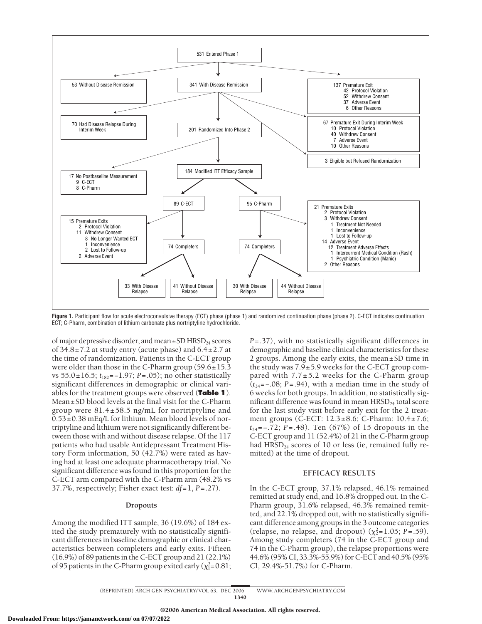

Figure 1. Participant flow for acute electroconvulsive therapy (ECT) phase (phase 1) and randomized continuation phase (phase 2). C-ECT indicates continuation ECT; C-Pharm, combination of lithium carbonate plus nortriptyline hydrochloride.

of major depressive disorder, and mean $\pm$ SD HRSD<sub>24</sub> scores of  $34.8 \pm 7.2$  at study entry (acute phase) and  $6.4 \pm 2.7$  at the time of randomization. Patients in the C-ECT group were older than those in the C-Pharm group (59.6±15.3 vs 55.0±16.5; *t*182=−1.97; *P*=.05); no other statistically significant differences in demographic or clinical variables for the treatment groups were observed (**Table 1**). Mean±SD blood levels at the final visit for the C-Pharm group were 81.4±58.5 ng/mL for nortriptyline and  $0.53\pm0.38$  mEq/L for lithium. Mean blood levels of nortriptyline and lithium were not significantly different between those with and without disease relapse. Of the 117 patients who had usable Antidepressant Treatment History Form information, 50 (42.7%) were rated as having had at least one adequate pharmacotherapy trial. No significant difference was found in this proportion for the C-ECT arm compared with the C-Pharm arm (48.2% vs 37.7%, respectively; Fisher exact test: *df*=1, *P*=.27).

## **Dropouts**

Among the modified ITT sample, 36 (19.6%) of 184 exited the study prematurely with no statistically significant differences in baseline demographic or clinical characteristics between completers and early exits. Fifteen (16.9%) of 89 patients in the C-ECT group and 21 (22.1%) of 95 patients in the C-Pharm group exited early ( $\chi^2$ =0.81;

*P*=.37), with no statistically significant differences in demographic and baseline clinical characteristics for these 2 groups. Among the early exits, the mean±SD time in the study was  $7.9 \pm 5.9$  weeks for the C-ECT group compared with  $7.7 \pm 5.2$  weeks for the C-Pharm group (*t*34=−.08; *P*=.94), with a median time in the study of 6 weeks for both groups. In addition, no statistically significant difference was found in mean HRSD<sub>24</sub> total score for the last study visit before early exit for the 2 treatment groups (C-ECT: 12.3±8.6; C-Pharm: 10.4±7.6; *t*<sup>34</sup> =−.72; *P*=.48). Ten (67%) of 15 dropouts in the C-ECT group and 11 (52.4%) of 21 in the C-Pharm group had  $HRSD<sub>24</sub>$  scores of 10 or less (ie, remained fully remitted) at the time of dropout.

# **EFFICACY RESULTS**

In the C-ECT group, 37.1% relapsed, 46.1% remained remitted at study end, and 16.8% dropped out. In the C-Pharm group, 31.6% relapsed, 46.3% remained remitted, and 22.1% dropped out, with no statistically significant difference among groups in the 3 outcome categories (relapse, no relapse, and dropout)  $(\chi^2 = 1.05; P = .59)$ . Among study completers (74 in the C-ECT group and 74 in the C-Pharm group), the relapse proportions were 44.6% (95% CI, 33.3%-55.9%) for C-ECT and 40.5% (95% CI, 29.4%-51.7%) for C-Pharm.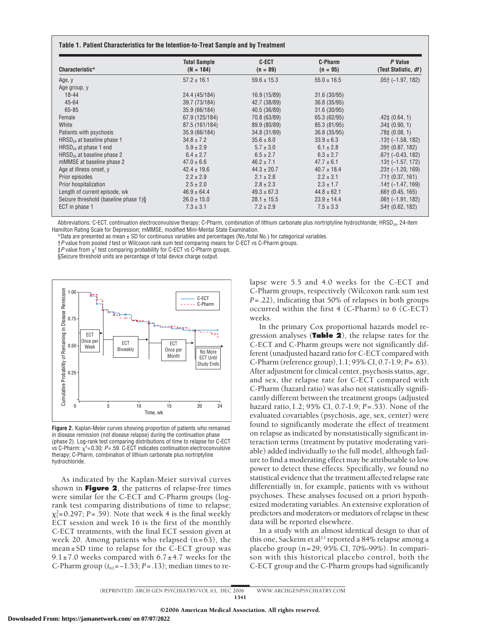| Characteristic*                       | <b>Total Sample</b><br>$(N = 184)$ | <b>C-ECT</b><br>$(n = 89)$ | C-Pharm<br>$(n = 95)$ | P Value<br>(Test Statistic, df) |
|---------------------------------------|------------------------------------|----------------------------|-----------------------|---------------------------------|
| Age, y                                | $57.2 \pm 16.1$                    | $59.6 \pm 15.3$            | $55.0 \pm 16.5$       | $.05$ † ( $-1.97, 182$ )        |
| Age group, y                          |                                    |                            |                       |                                 |
| $18 - 44$                             | 24.4 (45/184)                      | 16.9 (15/89)               | 31.6 (30/95)          |                                 |
| $45 - 64$                             | 39.7 (73/184)                      | 42.7 (38/89)               | 36.8 (35/95)          |                                 |
| 65-85                                 | 35.9 (66/184)                      | 40.5 (36/89)               | 31.6 (30/95)          |                                 |
| Female                                | 67.9 (125/184)                     | 70.8 (63/89)               | 65.3 (62/95)          | $.42\pm(0.64, 1)$               |
| White                                 | 87.5 (161/184)                     | 89.9 (80/89)               | 85.3 (81/95)          | $.34\pm(0.90, 1)$               |
| Patients with psychosis               | 35.9 (66/184)                      | 34.8 (31/89)               | 36.8 (35/95)          | $.78\pm(0.08, 1)$               |
| $HRSD24$ at baseline phase 1          | $34.8 \pm 7.2$                     | $35.6 \pm 8.0$             | $33.9 \pm 6.3$        | $.13+$ (-1.58, 182)             |
| $HRSD_{24}$ at phase 1 end            | $5.9 \pm 2.9$                      | $5.7 \pm 3.0$              | $6.1 \pm 2.8$         | $.39+$ (0.87, 182)              |
| $HRSD_{24}$ at baseline phase 2       | $6.4 \pm 2.7$                      | $6.5 \pm 2.7$              | $6.3 \pm 2.7$         | $.67+$ (-0.43, 182)             |
| mMMSE at baseline phase 2             | $47.0 \pm 6.6$                     | $46.2 \pm 7.1$             | $47.7 \pm 6.1$        | $.13+$ (-1.57, 172)             |
| Age at illness onset, y               | $42.4 \pm 19.6$                    | $44.3 \pm 20.7$            | $40.7 \pm 18.4$       | $.23 \uparrow (-1.20, 169)$     |
| Prior episodes                        | $2.2 \pm 2.9$                      | $2.1 \pm 2.8$              | $2.2 \pm 3.1$         | $.71$ † (0.37, 161)             |
| Prior hospitalization                 | $2.5 \pm 2.0$                      | $2.8 \pm 2.3$              | $2.3 \pm 1.7$         | $.14$ † (–1.47, 169)            |
| Length of current episode, wk         | $46.9 \pm 64.4$                    | $49.3 \pm 67.3$            | $44.8 \pm 62.1$       | $.66$ † (0.45, 165)             |
| Seizure threshold (baseline phase 1)§ | $26.0 \pm 15.0$                    | $28.1 \pm 15.5$            | $23.9 \pm 14.4$       | $.06$ † ( $-1.91, 182$ )        |
| ECT in phase 1                        | $7.3 \pm 3.1$                      | $7.2 \pm 2.9$              | $7.5 \pm 3.3$         | $.54$ † (0.62, 182)             |

Abbreviations: C-ECT, continuation electroconvulsive therapy; C-Pharm, combination of lithium carbonate plus nortriptyline hydrochloride; HRSD<sub>24</sub>, 24-item Hamilton Rating Scale for Depression; mMMSE, modified Mini-Mental State Examination.

\*Data are presented as mean ± SD for continuous variables and percentages (No./total No.) for categorical variables.

†*P* value from pooled *t* test or Wilcoxon rank sum test comparing means for C-ECT vs C-Pharm groups.

 $\pm P$  value from  $\chi^2$  test comparing probability for C-ECT vs C-Pharm groups.

§Seizure threshold units are percentage of total device charge output.



**Figure 2.** Kaplan-Meier curves showing proportion of patients who remained in disease remission (not disease relapse) during the continuation phase (phase 2). Log-rank test comparing distributions of time to relapse for C-ECT vs C-Pharm:  $\chi^2$ =0.30; *P*=.59. C-ECT indicates continuation electroconvulsive therapy; C-Pharm, combination of lithium carbonate plus nortriptyline hydrochloride.

As indicated by the Kaplan-Meier survival curves shown in **Figure 2**, the patterns of relapse-free times were similar for the C-ECT and C-Pharm groups (logrank test comparing distributions of time to relapse;  $\chi_1^2$ =0.297; *P*=.59). Note that week 4 is the final weekly ECT session and week 16 is the first of the monthly C-ECT treatments, with the final ECT session given at week 20. Among patients who relapsed  $(n=63)$ , the mean±SD time to relapse for the C-ECT group was  $9.1 \pm 7.0$  weeks compared with  $6.7 \pm 4.7$  weeks for the C-Pharm group  $(t_{61}=-1.53; P=.13)$ ; median times to relapse were 5.5 and 4.0 weeks for the C-ECT and C-Pharm groups, respectively (Wilcoxon rank sum test *P*=.22), indicating that 50% of relapses in both groups occurred within the first 4 (C-Pharm) to 6 (C-ECT) weeks.

In the primary Cox proportional hazards model regression analyses (**Table 2**), the relapse rates for the C-ECT and C-Pharm groups were not significantly different (unadjusted hazard ratio for C-ECT compared with C-Pharm (reference group),1.1; 95% CI, 0.7-1.9; *P*=.63). After adjustment for clinical center, psychosis status, age, and sex, the relapse rate for C-ECT compared with C-Pharm (hazard ratio) was also not statistically significantly different between the treatment groups (adjusted hazard ratio,1.2; 95% CI, 0.7-1.9; *P*=.53). None of the evaluated covariables (psychosis, age, sex, center) were found to significantly moderate the effect of treatment on relapse as indicated by nonstatistically significant interaction terms (treatment by putative moderating variable) added individually to the full model, although failure to find a moderating effect may be attributable to low power to detect these effects. Specifically, we found no statistical evidence that the treatment affected relapse rate differentially in, for example, patients with vs without psychoses. These analyses focused on a priori hypothesized moderating variables. An extensive exploration of predictors and moderators or mediators of relapse in these data will be reported elsewhere.

In a study with an almost identical design to that of this one, Sackeim et al<sup>13</sup> reported a 84% relapse among a placebo group (n=29; 95% CI, 70%-99%). In comparison with this historical placebo control, both the C-ECT group and the C-Pharm groups had significantly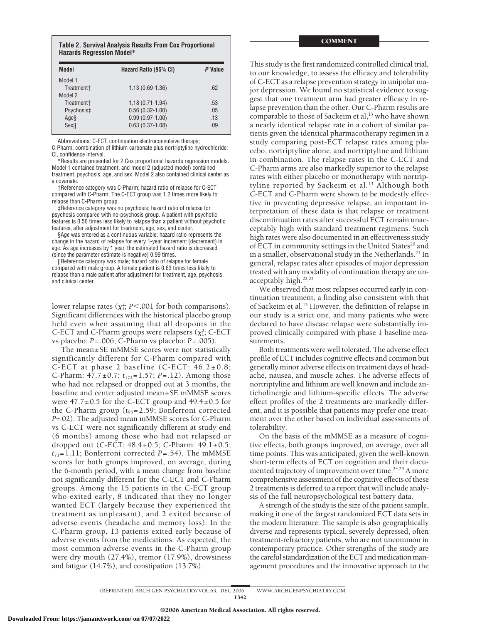**Table 2. Survival Analysis Results From Cox Proportional Hazards Regression Model\***

| Model                  | Hazard Ratio (95% CI) |     |
|------------------------|-----------------------|-----|
| Model 1                |                       |     |
| Treatment <sup>+</sup> | $1.13(0.69-1.36)$     | .62 |
| Model 2                |                       |     |
| Treatment <sup>+</sup> | $1.18(0.71 - 1.94)$   | .53 |
| Psychosis‡             | $0.56(0.32 - 1.00)$   | .05 |
| Ages                   | $0.99(0.97 - 1.00)$   | .13 |
| Sex                    | $0.63(0.37-1.08)$     | .09 |

Abbreviations: C-ECT, continuation electroconvulsive therapy;

C-Pharm, combination of lithium carbonate plus nortriptyline hydrochloride; CI, confidence interval.

\*Results are presented for 2 Cox proportional hazards regression models. Model 1 contained treatment, and model 2 (adjusted model) contained treatment, psychosis, age, and sex. Model 2 also contained clinical center as a covariate.

†Reference category was C-Pharm; hazard ratio of relapse for C-ECT compared with C-Pharm. The C-ECT group was 1.2 times more likely to relapse than C-Pharm group.

‡Reference category was no psychosis; hazard ratio of relapse for psychosis compared with no-psychosis group. A patient with psychotic features is 0.56 times less likely to relapse than a patient without psychotic features, after adjustment for treatment, age, sex, and center.

§Age was entered as a continuous variable; hazard ratio represents the change in the hazard of relapse for every 1-year increment (decrement) in age. As age increases by 1 year, the estimated hazard ratio is decreased (since the parameter estimate is negative) 0.99 times.

||Reference category was male; hazard ratio of relapse for female compared with male group. A female patient is 0.63 times less likely to relapse than a male patient after adjustment for treatment, age, psychosis, and clinical center.

lower relapse rates  $(\chi_1^2; P<.001$  for both comparisons). Significant differences with the historical placebo group held even when assuming that all dropouts in the C-ECT and C-Pharm groups were relapsers ( $\chi^2$ ); C-ECT vs placebo: *P*=.006; C-Pharm vs placebo: *P*=.005).

The mean±SE mMMSE scores were not statistically significantly different for C-Pharm compared with C-ECT at phase 2 baseline (C-ECT: 46.2±0.8; C-Pharm: 47.7±0.7; *t*172=1.57; *P*=.12). Among those who had not relapsed or dropped out at 3 months, the baseline and center adjusted mean±SE mMMSE scores were  $47.7\pm0.5$  for the C-ECT group and  $49.4\pm0.5$  for the C-Pharm group ( $t_{93}$ =2.59; Bonferroni corrected *P*=.02). The adjusted mean mMMSE scores for C-Pharm vs C-ECT were not significantly different at study end (6 months) among those who had not relapsed or dropped out (C-ECT:  $48.4 \pm 0.5$ ; C-Pharm:  $49.1 \pm 0.5$ ;  $t_{73}$ =1.11; Bonferroni corrected *P*=.54). The mMMSE scores for both groups improved, on average, during the 6-month period, with a mean change from baseline not significantly different for the C-ECT and C-Pharm groups. Among the 15 patients in the C-ECT group who exited early, 8 indicated that they no longer wanted ECT (largely because they experienced the treatment as unpleasant), and 2 exited because of adverse events (headache and memory loss). In the C-Pharm group, 13 patients exited early because of adverse events from the medications. As expected, the most common adverse events in the C-Pharm group were dry mouth (27.4%), tremor (17.9%), drowsiness and fatigue (14.7%), and constipation (13.7%).

This study is the first randomized controlled clinical trial, to our knowledge, to assess the efficacy and tolerability of C-ECT as a relapse prevention strategy in unipolar major depression. We found no statistical evidence to suggest that one treatment arm had greater efficacy in relapse prevention than the other. Our C-Pharm results are comparable to those of Sackeim et al,<sup>13</sup> who have shown a nearly identical relapse rate in a cohort of similar patients given the identical pharmacotherapy regimen in a study comparing post-ECT relapse rates among placebo, nortriptyline alone, and nortriptyline and lithium in combination. The relapse rates in the C-ECT and C-Pharm arms are also markedly superior to the relapse rates with either placebo or monotherapy with nortriptyline reported by Sackeim et al.<sup>13</sup> Although both C-ECT and C-Pharm were shown to be modestly effective in preventing depressive relapse, an important interpretation of these data is that relapse or treatment discontinuation rates after successful ECT remain unacceptably high with standard treatment regimens. Such high rates were also documented in an effectiveness study of ECT in community settings in the United States<sup>20</sup> and in a smaller, observational study in the Netherlands.<sup>21</sup> In general, relapse rates after episodes of major depression treated with any modality of continuation therapy are unacceptably high. $22,23$ 

We observed that most relapses occurred early in continuation treatment, a finding also consistent with that of Sackeim et al.13 However, the definition of relapse in our study is a strict one, and many patients who were declared to have disease relapse were substantially improved clinically compared with phase 1 baseline measurements.

Both treatments were well tolerated. The adverse effect profile of ECT includes cognitive effects and common but generally minor adverse effects on treatment days of headache, nausea, and muscle aches. The adverse effects of nortriptyline and lithium are well known and include anticholinergic and lithium-specific effects. The adverse effect profiles of the 2 treatments are markedly different, and it is possible that patients may prefer one treatment over the other based on individual assessments of tolerability.

On the basis of the mMMSE as a measure of cognitive effects, both groups improved, on average, over all time points. This was anticipated, given the well-known short-term effects of ECT on cognition and their documented trajectory of improvement over time.<sup>24,25</sup> A more comprehensive assessment of the cognitive effects of these 2 treatments is deferred to a report that will include analysis of the full neuropsychological test battery data.

A strength of the study is the size of the patient sample, making it one of the largest randomized ECT data sets in the modern literature. The sample is also geographically diverse and represents typical, severely depressed, often treatment-refractory patients, who are not uncommon in contemporary practice. Other strengths of the study are the careful standardization of the ECT and medication management procedures and the innovative approach to the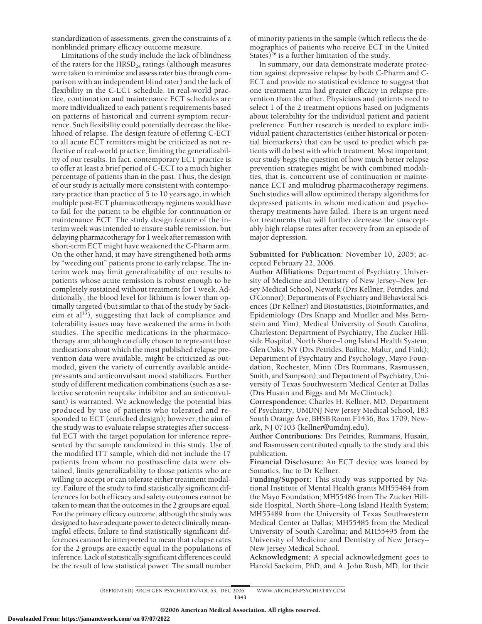standardization of assessments, given the constraints of a nonblinded primary efficacy outcome measure.

Limitations of the study include the lack of blindness of the raters for the  $HRSD<sub>24</sub>$  ratings (although measures were taken to minimize and assess rater bias through comparison with an independent blind rater) and the lack of flexibility in the C-ECT schedule. In real-world practice, continuation and maintenance ECT schedules are more individualized to each patient's requirements based on patterns of historical and current symptom recurrence. Such flexibility could potentially decrease the likelihood of relapse. The design feature of offering C-ECT to all acute ECT remitters might be criticized as not reflective of real-world practice, limiting the generalizability of our results. In fact, contemporary ECT practice is to offer at least a brief period of C-ECT to a much higher percentage of patients than in the past. Thus, the design of our study is actually more consistent with contemporary practice than practice of 5 to 10 years ago, in which multiple post-ECT pharmacotherapy regimens would have to fail for the patient to be eligible for continuation or maintenance ECT. The study design feature of the interim week was intended to ensure stable remission, but delaying pharmacotherapy for 1 week after remission with short-term ECT might have weakened the C-Pharm arm. On the other hand, it may have strengthened both arms by "weeding out" patients prone to early relapse. The interim week may limit generalizability of our results to patients whose acute remission is robust enough to be completely sustained without treatment for 1 week. Additionally, the blood level for lithium is lower than optimally targeted (but similar to that of the study by Sackeim et al $^{13}$ ), suggesting that lack of compliance and tolerability issues may have weakened the arms in both studies. The specific medications in the pharmacotherapy arm, although carefully chosen to represent those medications about which the most published relapse prevention data were available, might be criticized as outmoded, given the variety of currently available antidepressants and anticonvulsant mood stabilizers. Further study of different medication combinations (such as a selective serotonin reuptake inhibitor and an anticonvulsant) is warranted. We acknowledge the potential bias produced by use of patients who tolerated and responded to ECT (enriched design); however, the aim of the study was to evaluate relapse strategies after successful ECT with the target population for inference represented by the sample randomized in this study. Use of the modified ITT sample, which did not include the 17 patients from whom no postbaseline data were obtained, limits generalizability to those patients who are willing to accept or can tolerate either treatment modality. Failure of the study to find statistically significant differences for both efficacy and safety outcomes cannot be taken to mean that the outcomes in the 2 groups are equal. For the primary efficacy outcome, although the study was designed to have adequate power to detect clinically meaningful effects, failure to find statistically significant differences cannot be interpreted to mean that relapse rates for the 2 groups are exactly equal in the populations of inference. Lack of statistically significant differences could be the result of low statistical power. The small number

of minority patients in the sample (which reflects the demographics of patients who receive ECT in the United States) $^{26}$  is a further limitation of the study.

In summary, our data demonstrate moderate protection against depressive relapse by both C-Pharm and C-ECT and provide no statistical evidence to suggest that one treatment arm had greater efficacy in relapse prevention than the other. Physicians and patients need to select 1 of the 2 treatment options based on judgments about tolerability for the individual patient and patient preference. Further research is needed to explore individual patient characteristics (either historical or potential biomarkers) that can be used to predict which patients will do best with which treatment. Most important, our study begs the question of how much better relapse prevention strategies might be with combined modalities, that is, concurrent use of continuation or maintenance ECT and multidrug pharmacotherapy regimens. Such studies will allow optimized therapy algorithms for depressed patients in whom medication and psychotherapy treatments have failed. There is an urgent need for treatments that will further decrease the unacceptably high relapse rates after recovery from an episode of major depression.

**Submitted for Publication:** November 10, 2005; accepted February 22, 2006.

**Author Affiliations:** Department of Psychiatry, University of Medicine and Dentistry of New Jersey–New Jersey Medical School, Newark (Drs Kellner, Petrides, and O'Connor); Departments of Psychiatry and Behavioral Sciences (Dr Kellner) and Biostatistics, Bioinformatics, and Epidemiology (Drs Knapp and Mueller and Mss Bernstein and Yim), Medical University of South Carolina, Charleston; Department of Psychiatry, The Zucker Hillside Hospital, North Shore–Long Island Health System, Glen Oaks, NY (Drs Petrides, Bailine, Malur, and Fink); Department of Psychiatry and Psychology, Mayo Foundation, Rochester, Minn (Drs Rummans, Rasmussen, Smith, and Sampson); and Department of Psychiatry, University of Texas Southwestern Medical Center at Dallas (Drs Husain and Biggs and Mr McClintock).

**Correspondence:** Charles H. Kellner, MD, Department of Psychiatry, UMDNJ New Jersey Medical School, 183 South Orange Ave, BHSB Room F1436, Box 1709, Newark, NJ 07103 (kellner@umdnj.edu).

**Author Contributions:** Drs Petrides, Rummans, Husain, and Rasmussen contributed equally to the study and this publication.

**Financial Disclosure:** An ECT device was loaned by Somatics, Inc to Dr Kellner.

**Funding/Support:** This study was supported by National Institute of Mental Health grants MH55484 from the Mayo Foundation; MH55486 from The Zucker Hillside Hospital, North Shore–Long Island Health System; MH55489 from the University of Texas Southwestern Medical Center at Dallas; MH55485 from the Medical University of South Carolina; and MH55495 from the University of Medicine and Dentistry of New Jersey– New Jersey Medical School.

**Acknowledgment:** A special acknowledgment goes to Harold Sackeim, PhD, and A. John Rush, MD, for their